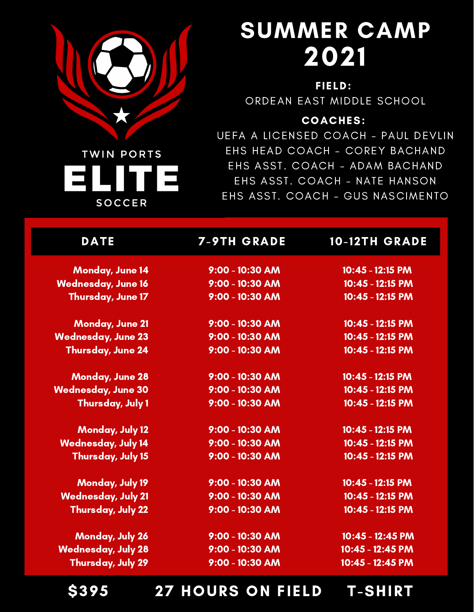

**SOCCER** 

# SUMMER CAMP 2021

FIELD: ORDEAN EAST MIDDLE SCHOOL

#### COACHES:

UEFA A LICENSED COACH - PAUL DEVLIN EHS HEAD COACH - COREY BACHAND EHS ASST. COACH - ADAM BACHAND EHS ASST. COACH - NATE HANSON EHS ASST. COACH - GUS NASCIMENTO

| <b>DATE</b>               | <b>7-9TH GRADE</b> | <b>10-12TH GRADE</b> |
|---------------------------|--------------------|----------------------|
| <b>Monday, June 14</b>    | $9:00 - 10:30$ AM  | $10:45 - 12:15$ PM   |
| <b>Wednesday, June 16</b> | $9:00 - 10:30$ AM  | 10:45 - 12:15 PM     |
| Thursday, June 17         | $9:00 - 10:30$ AM  | 10:45 - 12:15 PM     |
| <b>Monday, June 21</b>    | $9:00 - 10:30$ AM  | 10:45 - 12:15 PM     |
| <b>Wednesday, June 23</b> | 9:00 - 10:30 AM    | 10:45 - 12:15 PM     |
| <b>Thursday, June 24</b>  | $9:00 - 10:30$ AM  | 10:45 - 12:15 PM     |
| <b>Monday, June 28</b>    | $9:00 - 10:30$ AM  | 10:45 - 12:15 PM     |
| <b>Wednesday, June 30</b> | 9:00 - 10:30 AM    | 10:45 - 12:15 PM     |
| <b>Thursday, July 1</b>   | 9:00 - 10:30 AM    | 10:45 - 12:15 PM     |
| <b>Monday, July 12</b>    | $9:00 - 10:30$ AM  | 10:45 - 12:15 PM     |
| <b>Wednesday, July 14</b> | $9:00 - 10:30$ AM  | 10:45 - 12:15 PM     |
| Thursday, July 15         | $9:00 - 10:30$ AM  | 10:45 - 12:15 PM     |
| <b>Monday, July 19</b>    | 9:00 - 10:30 AM    | 10:45 - 12:15 PM     |
| <b>Wednesday, July 21</b> | 9:00 - 10:30 AM    | 10:45 - 12:15 PM     |
| <b>Thursday, July 22</b>  | 9:00 - 10:30 AM    | 10:45 - 12:15 PM     |
| <b>Monday, July 26</b>    | $9:00 - 10:30$ AM  | 10:45 - 12:45 PM     |
| <b>Wednesday, July 28</b> | 9:00 - 10:30 AM    | 10:45 - 12:45 PM     |
| <b>Thursday, July 29</b>  | 9:00 - 10:30 AM    | 10:45 - 12:45 PM     |

\$395 27 HOURS ON FIELD T-SHIRT